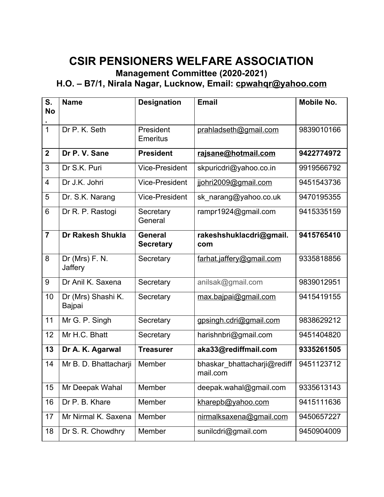## **CSIR PENSIONERS WELFARE ASSOCIATION**

## **Management Committee (2020-2021)**

## **H.O. – B7/1, Nirala Nagar, Lucknow, Email: [cpwahqr@yahoo.com](mailto:cpwahqr@yahoo.com)**

| S.<br><b>No</b> | <b>Name</b>                  | <b>Designation</b>                 | <b>Email</b>                            | <b>Mobile No.</b> |
|-----------------|------------------------------|------------------------------------|-----------------------------------------|-------------------|
| $\overline{1}$  | Dr P. K. Seth                | President<br><b>Emeritus</b>       | prahladseth@gmail.com                   | 9839010166        |
| $\overline{2}$  | Dr P. V. Sane                | <b>President</b>                   | rajsane@hotmail.com                     | 9422774972        |
| 3               | Dr S.K. Puri                 | <b>Vice-President</b>              | skpuricdri@yahoo.co.in                  | 9919566792        |
| $\overline{4}$  | Dr J.K. Johri                | <b>Vice-President</b>              | jjohri2009@gmail.com                    | 9451543736        |
| 5               | Dr. S.K. Narang              | <b>Vice-President</b>              | sk narang@yahoo.co.uk                   | 9470195355        |
| 6               | Dr R. P. Rastogi             | Secretary<br>General               | rampr1924@gmail.com                     | 9415335159        |
| $\overline{7}$  | <b>Dr Rakesh Shukla</b>      | <b>General</b><br><b>Secretary</b> | rakeshshuklacdri@gmail.<br>com          | 9415765410        |
| 8               | Dr (Mrs) F. N.<br>Jaffery    | Secretary                          | farhat.jaffery@gmail.com                | 9335818856        |
| 9               | Dr Anil K. Saxena            | Secretary                          | anilsak@gmail.com                       | 9839012951        |
| 10              | Dr (Mrs) Shashi K.<br>Bajpai | Secretary                          | max.bajpai@gmail.com                    | 9415419155        |
| 11              | Mr G. P. Singh               | Secretary                          | gpsingh.cdri@gmail.com                  | 9838629212        |
| 12              | Mr H.C. Bhatt                | Secretary                          | harishnbri@gmail.com                    | 9451404820        |
| 13              | Dr A. K. Agarwal             | <b>Treasurer</b>                   | aka33@rediffmail.com                    | 9335261505        |
| 14              | Mr B. D. Bhattacharji        | Member                             | bhaskar bhattacharji@rediff<br>mail.com | 9451123712        |
| 15              | Mr Deepak Wahal              | Member                             | deepak.wahal@gmail.com                  | 9335613143        |
| 16              | Dr P. B. Khare               | Member                             | kharepb@yahoo.com                       | 9415111636        |
| 17              | Mr Nirmal K. Saxena          | Member                             | nirmalksaxena@gmail.com                 | 9450657227        |
| 18              | Dr S. R. Chowdhry            | Member                             | sunilcdri@gmail.com                     | 9450904009        |